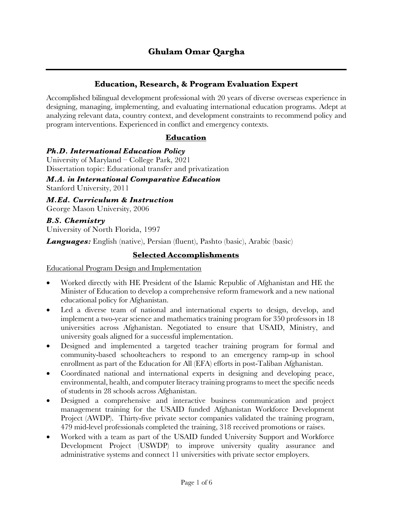# **Education, Research, & Program Evaluation Expert**

Accomplished bilingual development professional with 20 years of diverse overseas experience in designing, managing, implementing, and evaluating international education programs. Adept at analyzing relevant data, country context, and development constraints to recommend policy and program interventions. Experienced in conflict and emergency contexts.

### **Education**

#### *Ph.D. International Education Policy*

University of Maryland – College Park, 2021 Dissertation topic: Educational transfer and privatization

*M.A. in International Comparative Education* Stanford University, 2011

*M.Ed. Curriculum & Instruction* George Mason University, 2006

*B.S. Chemistry* University of North Florida, 1997

*Languages:* English (native), Persian (fluent), Pashto (basic), Arabic (basic)

### **Selected Accomplishments**

Educational Program Design and Implementation

- Worked directly with HE President of the Islamic Republic of Afghanistan and HE the Minister of Education to develop a comprehensive reform framework and a new national educational policy for Afghanistan.
- Led a diverse team of national and international experts to design, develop, and implement a two-year science and mathematics training program for 350 professors in 18 universities across Afghanistan. Negotiated to ensure that USAID, Ministry, and university goals aligned for a successful implementation.
- Designed and implemented a targeted teacher training program for formal and community-based schoolteachers to respond to an emergency ramp-up in school enrollment as part of the Education for All (EFA) efforts in post-Taliban Afghanistan.
- Coordinated national and international experts in designing and developing peace, environmental, health, and computer literacy training programs to meet the specific needs of students in 28 schools across Afghanistan.
- Designed a comprehensive and interactive business communication and project management training for the USAID funded Afghanistan Workforce Development Project (AWDP). Thirty-five private sector companies validated the training program, 479 mid-level professionals completed the training, 318 received promotions or raises.
- Worked with a team as part of the USAID funded University Support and Workforce Development Project (USWDP) to improve university quality assurance and administrative systems and connect 11 universities with private sector employers.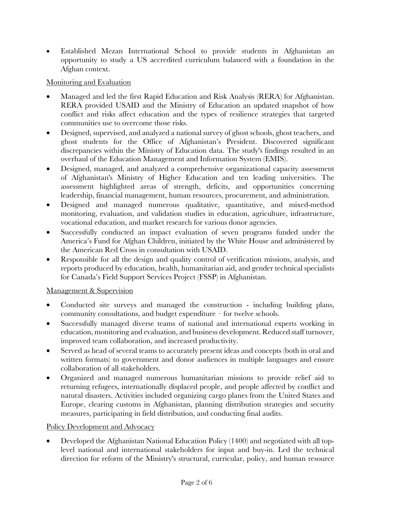• Established Mezan International School to provide students in Afghanistan an opportunity to study a US accredited curriculum balanced with a foundation in the Afghan context.

## Monitoring and Evaluation

- Managed and led the first Rapid Education and Risk Analysis (RERA) for Afghanistan. RERA provided USAID and the Ministry of Education an updated snapshot of how conflict and risks affect education and the types of resilience strategies that targeted communities use to overcome those risks.
- Designed, supervised, and analyzed a national survey of ghost schools, ghost teachers, and ghost students for the Office of Afghanistan's President. Discovered significant discrepancies within the Ministry of Education data. The study's findings resulted in an overhaul of the Education Management and Information System (EMIS).
- Designed, managed, and analyzed a comprehensive organizational capacity assessment of Afghanistan's Ministry of Higher Education and ten leading universities. The assessment highlighted areas of strength, deficits, and opportunities concerning leadership, financial management, human resources, procurement, and administration.
- Designed and managed numerous qualitative, quantitative, and mixed-method monitoring, evaluation, and validation studies in education, agriculture, infrastructure, vocational education, and market research for various donor agencies.
- Successfully conducted an impact evaluation of seven programs funded under the America's Fund for Afghan Children, initiated by the White House and administered by the American Red Cross in consultation with USAID.
- Responsible for all the design and quality control of verification missions, analysis, and reports produced by education, health, humanitarian aid, and gender technical specialists for Canada's Field Support Services Project (FSSP) in Afghanistan.

## Management & Supervision

- Conducted site surveys and managed the construction including building plans, community consultations, and budget expenditure – for twelve schools.
- Successfully managed diverse teams of national and international experts working in education, monitoring and evaluation, and business development. Reduced staff turnover, improved team collaboration, and increased productivity.
- Served as head of several teams to accurately present ideas and concepts (both in oral and written formats) to government and donor audiences in multiple languages and ensure collaboration of all stakeholders.
- Organized and managed numerous humanitarian missions to provide relief aid to returning refugees, internationally displaced people, and people affected by conflict and natural disasters. Activities included organizing cargo planes from the United States and Europe, clearing customs in Afghanistan, planning distribution strategies and security measures, participating in field distribution, and conducting final audits.

## Policy Development and Advocacy

• Developed the Afghanistan National Education Policy (1400) and negotiated with all toplevel national and international stakeholders for input and buy-in. Led the technical direction for reform of the Ministry's structural, curricular, policy, and human resource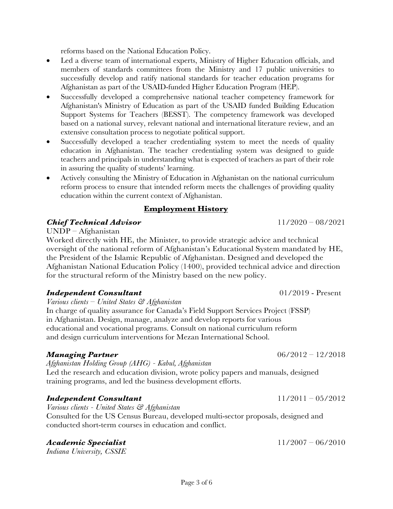reforms based on the National Education Policy.

- Led a diverse team of international experts, Ministry of Higher Education officials, and members of standards committees from the Ministry and 17 public universities to successfully develop and ratify national standards for teacher education programs for Afghanistan as part of the USAID-funded Higher Education Program (HEP).
- Successfully developed a comprehensive national teacher competency framework for Afghanistan's Ministry of Education as part of the USAID funded Building Education Support Systems for Teachers (BESST). The competency framework was developed based on a national survey, relevant national and international literature review, and an extensive consultation process to negotiate political support.
- Successfully developed a teacher credentialing system to meet the needs of quality education in Afghanistan. The teacher credentialing system was designed to guide teachers and principals in understanding what is expected of teachers as part of their role in assuring the quality of students' learning.
- Actively consulting the Ministry of Education in Afghanistan on the national curriculum reform process to ensure that intended reform meets the challenges of providing quality education within the current context of Afghanistan.

## **Employment History**

## *Chief Technical Advisor* 11/2020 – 08/2021

UNDP – Afghanistan

Worked directly with HE, the Minister, to provide strategic advice and technical oversight of the national reform of Afghanistan's Educational System mandated by HE, the President of the Islamic Republic of Afghanistan. Designed and developed the Afghanistan National Education Policy (1400), provided technical advice and direction for the structural reform of the Ministry based on the new policy.

## *Independent Consultant*  $01/2019$  - Present

*Various clients – United States & Afghanistan*

In charge of quality assurance for Canada's Field Support Services Project (FSSP) in Afghanistan. Design, manage, analyze and develop reports for various educational and vocational programs. Consult on national curriculum reform and design curriculum interventions for Mezan International School.

## *Managing Partner* 2008 **12/2012** 22/2018

*Afghanistan Holding Group (AHG) - Kabul, Afghanistan* Led the research and education division, wrote policy papers and manuals, designed training programs, and led the business development efforts.

## *Independent Consultant* 11/2011 – 05/2012

*Various clients - United States & Afghanistan* Consulted for the US Census Bureau, developed multi-sector proposals, designed and conducted short-term courses in education and conflict.

## *Academic Specialist* 11/2007 – 06/2010

*Indiana University, CSSIE*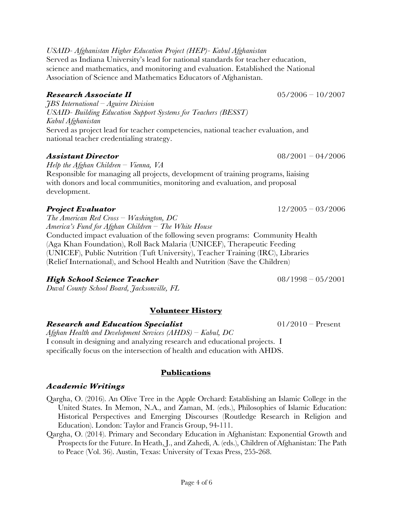*USAID- Afghanistan Higher Education Project (HEP)- Kabul Afghanistan*  Served as Indiana University's lead for national standards for teacher education, science and mathematics, and monitoring and evaluation. Established the National Association of Science and Mathematics Educators of Afghanistan.

### *Research Associate II* 05/2006 – 10/2007

*JBS International – Aguirre Division USAID- Building Education Support Systems for Teachers (BESST) Kabul Afghanistan*  Served as project lead for teacher competencies, national teacher evaluation, and national teacher credentialing strategy.

### *Assistant Director* 08/2001 – 04/2006

*Help the Afghan Children – Vienna, VA* Responsible for managing all projects, development of training programs, liaising with donors and local communities, monitoring and evaluation, and proposal development.

## *Project Evaluator* 12/2005 – 03/2006

*The American Red Cross – Washington, DC America's Fund for Afghan Children – The White House* Conducted impact evaluation of the following seven programs: Community Health (Aga Khan Foundation), Roll Back Malaria (UNICEF), Therapeutic Feeding (UNICEF), Public Nutrition (Tuft University), Teacher Training (IRC), Libraries (Relief International), and School Health and Nutrition (Save the Children)

### *High School Science Teacher*  $08/1998 - 05/2001$

*Duval County School Board, Jacksonville, FL*

# **Volunteer History**

### *Research and Education Specialist* 01/2010 – Present

*Afghan Health and Development Services (AHDS) – Kabul, DC* I consult in designing and analyzing research and educational projects. I specifically focus on the intersection of health and education with AHDS.

### **Publications**

### *Academic Writings*

- Qargha, O. (2016). An Olive Tree in the Apple Orchard: Establishing an Islamic College in the United States. In Memon, N.A., and Zaman, M. (eds.), Philosophies of Islamic Education: Historical Perspectives and Emerging Discourses (Routledge Research in Religion and Education). London: Taylor and Francis Group, 94-111.
- Qargha, O. (2014). Primary and Secondary Education in Afghanistan: Exponential Growth and Prospects for the Future. In Heath, J., and Zahedi, A. (eds.), Children of Afghanistan: The Path to Peace (Vol. 36). Austin, Texas: University of Texas Press, 255-268.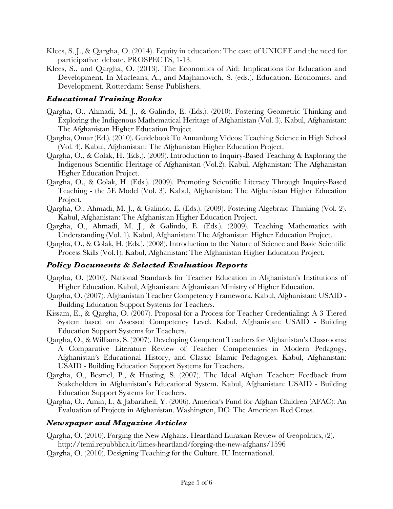- Klees, S. J., & Qargha, O. (2014). Equity in education: The case of UNICEF and the need for participative debate. PROSPECTS, 1-13.
- Klees, S., and Qargha, O. (2013). The Economics of Aid: Implications for Education and Development. In Macleans, A., and Majhanovich, S. (eds.), Education, Economics, and Development. Rotterdam: Sense Publishers.

### *Educational Training Books*

- Qargha, O., Ahmadi, M. J., & Galindo, E. (Eds.). (2010). Fostering Geometric Thinking and Exploring the Indigenous Mathematical Heritage of Afghanistan (Vol. 3). Kabul, Afghanistan: The Afghanistan Higher Education Project.
- Qargha, Omar (Ed.). (2010). Guidebook To Annanburg Videos: Teaching Science in High School (Vol. 4). Kabul, Afghanistan: The Afghanistan Higher Education Project.
- Qargha, O., & Colak, H. (Eds.). (2009). Introduction to Inquiry-Based Teaching & Exploring the Indigenous Scientific Heritage of Afghanistan (Vol.2). Kabul, Afghanistan: The Afghanistan Higher Education Project.
- Qargha, O., & Colak, H. (Eds.). (2009). Promoting Scientific Literacy Through Inquiry-Based Teaching - the 5E Model (Vol. 3). Kabul, Afghanistan: The Afghanistan Higher Education Project.
- Qargha, O., Ahmadi, M. J., & Galindo, E. (Eds.). (2009). Fostering Algebraic Thinking (Vol. 2). Kabul, Afghanistan: The Afghanistan Higher Education Project.
- Qargha, O., Ahmadi, M. J., & Galindo, E. (Eds.). (2009). Teaching Mathematics with Understanding (Vol. 1). Kabul, Afghanistan: The Afghanistan Higher Education Project.
- Qargha, O., & Colak, H. (Eds.). (2008). Introduction to the Nature of Science and Basic Scientific Process Skills (Vol.1). Kabul, Afghanistan: The Afghanistan Higher Education Project.

### *Policy Documents & Selected Evaluation Reports*

- Qargha, O. (2010). National Standards for Teacher Education in Afghanistan's Institutions of Higher Education. Kabul, Afghanistan: Afghanistan Ministry of Higher Education.
- Qargha, O. (2007). Afghanistan Teacher Competency Framework. Kabul, Afghanistan: USAID Building Education Support Systems for Teachers.
- Kissam, E., & Qargha, O. (2007). Proposal for a Process for Teacher Credentialing: A 3 Tiered System based on Assessed Competency Level. Kabul, Afghanistan: USAID - Building Education Support Systems for Teachers.
- Qargha, O., & Williams, S. (2007). Developing Competent Teachers for Afghanistan's Classrooms: A Comparative Literature Review of Teacher Competencies in Modern Pedagogy, Afghanistan's Educational History, and Classic Islamic Pedagogies. Kabul, Afghanistan: USAID - Building Education Support Systems for Teachers.
- Qargha, O., Besmel, P., & Husting, S. (2007). The Ideal Afghan Teacher: Feedback from Stakeholders in Afghanistan's Educational System. Kabul, Afghanistan: USAID - Building Education Support Systems for Teachers.
- Qargha, O., Amin, I., & Jabarkheil, Y. (2006). America's Fund for Afghan Children (AFAC): An Evaluation of Projects in Afghanistan. Washington, DC: The American Red Cross.

### *Newspaper and Magazine Articles*

- Qargha, O. (2010). Forging the New Afghans. Heartland Eurasian Review of Geopolitics, (2). http://temi.repubblica.it/limes-heartland/forging-the-new-afghans/1596
- Qargha, O. (2010). Designing Teaching for the Culture. IU International.